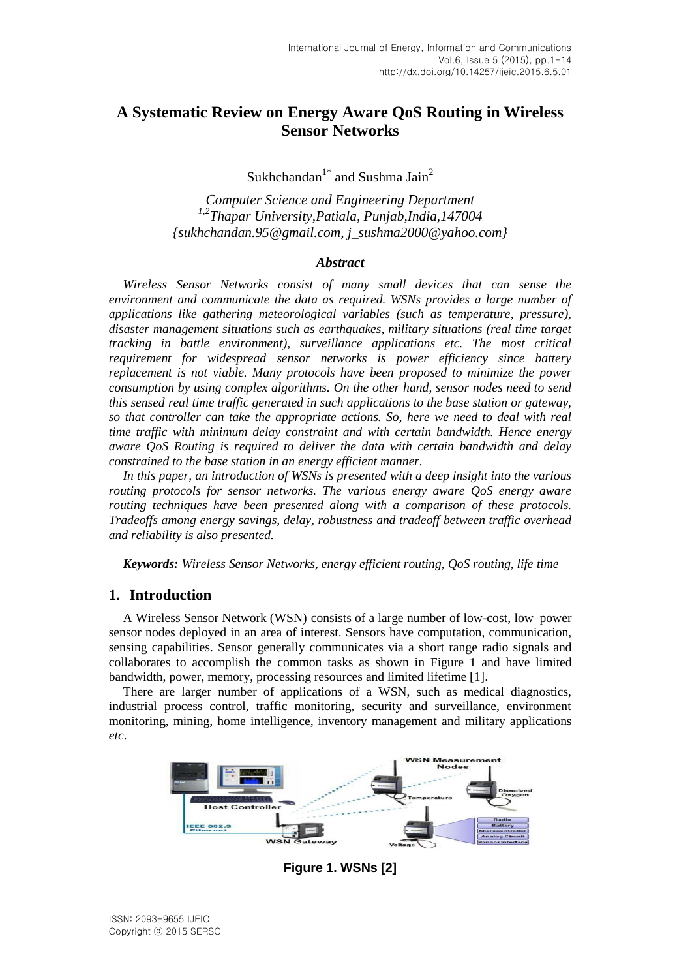# **A Systematic Review on Energy Aware QoS Routing in Wireless Sensor Networks**

Sukhchandan<sup>1\*</sup> and Sushma Jain<sup>2</sup>

*Computer Science and Engineering Department 1,2Thapar University,Patiala, Punjab,India,147004 {sukhchandan.95@gmail.com, j\_sushma2000@yahoo.com}*

## *Abstract*

*Wireless Sensor Networks consist of many small devices that can sense the environment and communicate the data as required. WSNs provides a large number of applications like gathering meteorological variables (such as temperature, pressure), disaster management situations such as earthquakes, military situations (real time target tracking in battle environment), surveillance applications etc. The most critical requirement for widespread sensor networks is power efficiency since battery replacement is not viable. Many protocols have been proposed to minimize the power consumption by using complex algorithms. On the other hand, sensor nodes need to send this sensed real time traffic generated in such applications to the base station or gateway, so that controller can take the appropriate actions. So, here we need to deal with real time traffic with minimum delay constraint and with certain bandwidth. Hence energy aware QoS Routing is required to deliver the data with certain bandwidth and delay constrained to the base station in an energy efficient manner.*

*In this paper, an introduction of WSNs is presented with a deep insight into the various routing protocols for sensor networks. The various energy aware QoS energy aware routing techniques have been presented along with a comparison of these protocols. Tradeoffs among energy savings, delay, robustness and tradeoff between traffic overhead and reliability is also presented.*

*Keywords: Wireless Sensor Networks, energy efficient routing, QoS routing, life time*

# **1. Introduction**

A Wireless Sensor Network (WSN) consists of a large number of low-cost, low–power sensor nodes deployed in an area of interest. Sensors have computation, communication, sensing capabilities. Sensor generally communicates via a short range radio signals and collaborates to accomplish the common tasks as shown in Figure 1 and have limited bandwidth, power, memory, processing resources and limited lifetime [1].

There are larger number of applications of a WSN, such as medical diagnostics, industrial process control, traffic monitoring, security and surveillance, environment monitoring, mining, home intelligence, inventory management and military applications *etc*.



**Figure 1. WSNs [2]**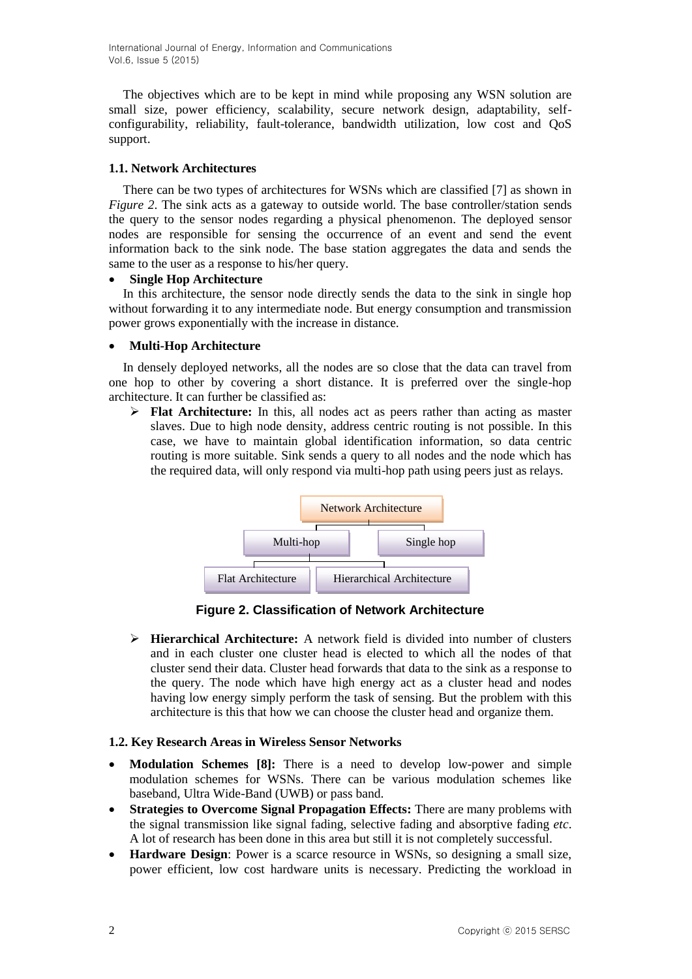International Journal of Energy, Information and Communications Vol.6, Issue 5 (2015)

The objectives which are to be kept in mind while proposing any WSN solution are small size, power efficiency, scalability, secure network design, adaptability, selfconfigurability, reliability, fault-tolerance, bandwidth utilization, low cost and QoS support.

## **1.1. Network Architectures**

There can be two types of architectures for WSNs which are classified [7] as shown in *Figure* 2. The sink acts as a gateway to outside world. The base controller/station sends the query to the sensor nodes regarding a physical phenomenon. The deployed sensor nodes are responsible for sensing the occurrence of an event and send the event information back to the sink node. The base station aggregates the data and sends the same to the user as a response to his/her query.

## **Single Hop Architecture**

In this architecture, the sensor node directly sends the data to the sink in single hop without forwarding it to any intermediate node. But energy consumption and transmission power grows exponentially with the increase in distance.

## **Multi-Hop Architecture**

In densely deployed networks, all the nodes are so close that the data can travel from one hop to other by covering a short distance. It is preferred over the single-hop architecture. It can further be classified as:

 **Flat Architecture:** In this, all nodes act as peers rather than acting as master slaves. Due to high node density, address centric routing is not possible. In this case, we have to maintain global identification information, so data centric routing is more suitable. Sink sends a query to all nodes and the node which has the required data, will only respond via multi-hop path using peers just as relays.



**Figure 2. Classification of Network Architecture**

 **Hierarchical Architecture:** A network field is divided into number of clusters and in each cluster one cluster head is elected to which all the nodes of that cluster send their data. Cluster head forwards that data to the sink as a response to the query. The node which have high energy act as a cluster head and nodes having low energy simply perform the task of sensing. But the problem with this architecture is this that how we can choose the cluster head and organize them.

#### **1.2. Key Research Areas in Wireless Sensor Networks**

- **Modulation Schemes [8]:** There is a need to develop low-power and simple modulation schemes for WSNs. There can be various modulation schemes like baseband, Ultra Wide-Band (UWB) or pass band.
- **Strategies to Overcome Signal Propagation Effects:** There are many problems with the signal transmission like signal fading, selective fading and absorptive fading *etc*. A lot of research has been done in this area but still it is not completely successful.
- **Hardware Design**: Power is a scarce resource in WSNs, so designing a small size, power efficient, low cost hardware units is necessary. Predicting the workload in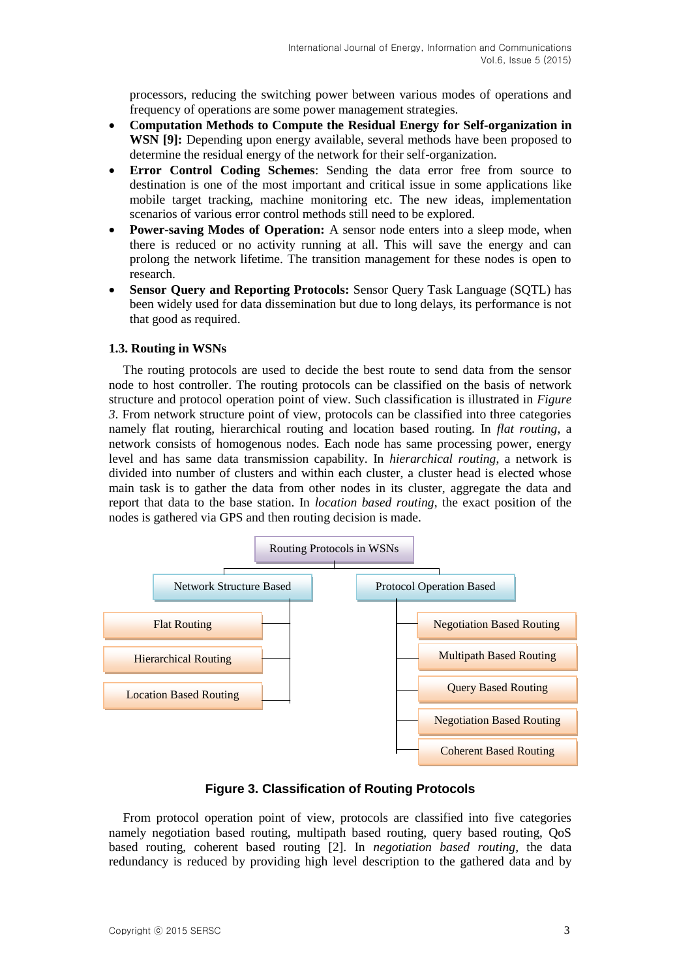processors, reducing the switching power between various modes of operations and frequency of operations are some power management strategies.

- **Computation Methods to Compute the Residual Energy for Self-organization in WSN [9]:** Depending upon energy available, several methods have been proposed to determine the residual energy of the network for their self-organization.
- **Error Control Coding Schemes**: Sending the data error free from source to destination is one of the most important and critical issue in some applications like mobile target tracking, machine monitoring etc. The new ideas, implementation scenarios of various error control methods still need to be explored.
- **Power-saving Modes of Operation:** A sensor node enters into a sleep mode, when there is reduced or no activity running at all. This will save the energy and can prolong the network lifetime. The transition management for these nodes is open to research.
- **Sensor Query and Reporting Protocols:** Sensor Query Task Language (SQTL) has been widely used for data dissemination but due to long delays, its performance is not that good as required.

# **1.3. Routing in WSNs**

The routing protocols are used to decide the best route to send data from the sensor node to host controller. The routing protocols can be classified on the basis of network structure and protocol operation point of view. Such classification is illustrated in *Figure 3*. From network structure point of view, protocols can be classified into three categories namely flat routing, hierarchical routing and location based routing. In *flat routing*, a network consists of homogenous nodes. Each node has same processing power, energy level and has same data transmission capability. In *hierarchical routing*, a network is divided into number of clusters and within each cluster, a cluster head is elected whose main task is to gather the data from other nodes in its cluster, aggregate the data and report that data to the base station. In *location based routing*, the exact position of the nodes is gathered via GPS and then routing decision is made.



# **Figure 3. Classification of Routing Protocols**

From protocol operation point of view, protocols are classified into five categories namely negotiation based routing, multipath based routing, query based routing, QoS based routing, coherent based routing [2]. In *negotiation based routing*, the data redundancy is reduced by providing high level description to the gathered data and by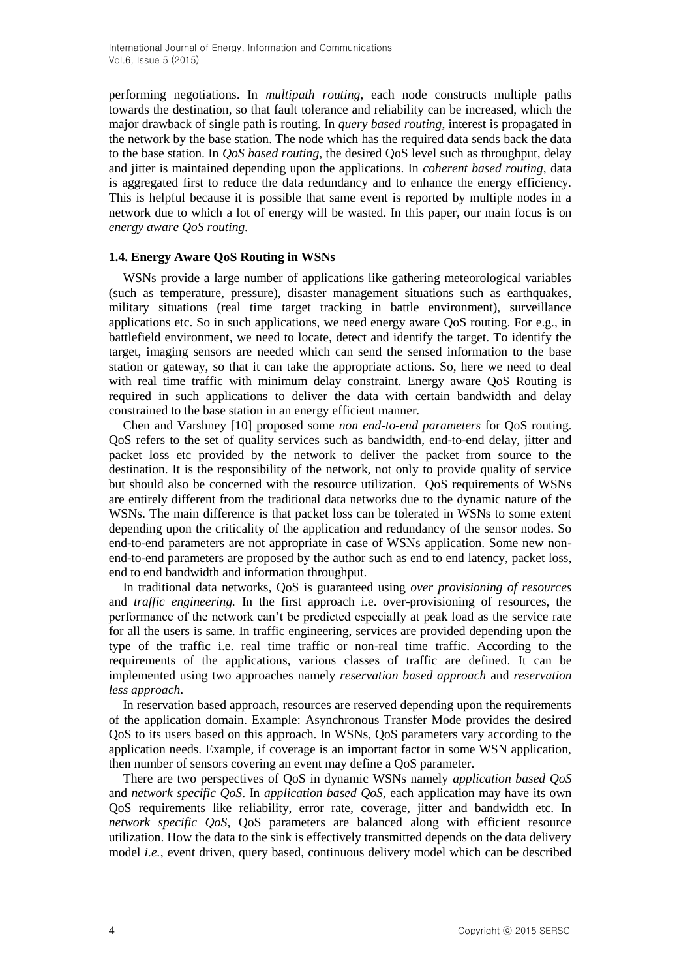performing negotiations. In *multipath routing*, each node constructs multiple paths towards the destination, so that fault tolerance and reliability can be increased, which the major drawback of single path is routing. In *query based routing*, interest is propagated in the network by the base station. The node which has the required data sends back the data to the base station. In *QoS based routing*, the desired QoS level such as throughput, delay and jitter is maintained depending upon the applications. In *coherent based routing*, data is aggregated first to reduce the data redundancy and to enhance the energy efficiency. This is helpful because it is possible that same event is reported by multiple nodes in a network due to which a lot of energy will be wasted. In this paper, our main focus is on *energy aware QoS routing.*

## **1.4. Energy Aware QoS Routing in WSNs**

WSNs provide a large number of applications like gathering meteorological variables (such as temperature, pressure), disaster management situations such as earthquakes, military situations (real time target tracking in battle environment), surveillance applications etc. So in such applications, we need energy aware QoS routing. For e.g., in battlefield environment, we need to locate, detect and identify the target. To identify the target, imaging sensors are needed which can send the sensed information to the base station or gateway, so that it can take the appropriate actions. So, here we need to deal with real time traffic with minimum delay constraint. Energy aware QoS Routing is required in such applications to deliver the data with certain bandwidth and delay constrained to the base station in an energy efficient manner.

Chen and Varshney [10] proposed some *non end-to-end parameters* for QoS routing. QoS refers to the set of quality services such as bandwidth, end-to-end delay, jitter and packet loss etc provided by the network to deliver the packet from source to the destination. It is the responsibility of the network, not only to provide quality of service but should also be concerned with the resource utilization. QoS requirements of WSNs are entirely different from the traditional data networks due to the dynamic nature of the WSNs. The main difference is that packet loss can be tolerated in WSNs to some extent depending upon the criticality of the application and redundancy of the sensor nodes. So end-to-end parameters are not appropriate in case of WSNs application. Some new nonend-to-end parameters are proposed by the author such as end to end latency, packet loss, end to end bandwidth and information throughput.

In traditional data networks, QoS is guaranteed using *over provisioning of resources* and *traffic engineering.* In the first approach i.e. over-provisioning of resources, the performance of the network can't be predicted especially at peak load as the service rate for all the users is same. In traffic engineering, services are provided depending upon the type of the traffic i.e. real time traffic or non-real time traffic. According to the requirements of the applications, various classes of traffic are defined. It can be implemented using two approaches namely *reservation based approach* and *reservation less approach*.

In reservation based approach, resources are reserved depending upon the requirements of the application domain. Example: Asynchronous Transfer Mode provides the desired QoS to its users based on this approach. In WSNs, QoS parameters vary according to the application needs. Example, if coverage is an important factor in some WSN application, then number of sensors covering an event may define a QoS parameter.

There are two perspectives of QoS in dynamic WSNs namely *application based QoS*  and *network specific QoS*. In *application based QoS*, each application may have its own QoS requirements like reliability, error rate, coverage, jitter and bandwidth etc. In *network specific QoS*, QoS parameters are balanced along with efficient resource utilization. How the data to the sink is effectively transmitted depends on the data delivery model *i.e.*, event driven, query based, continuous delivery model which can be described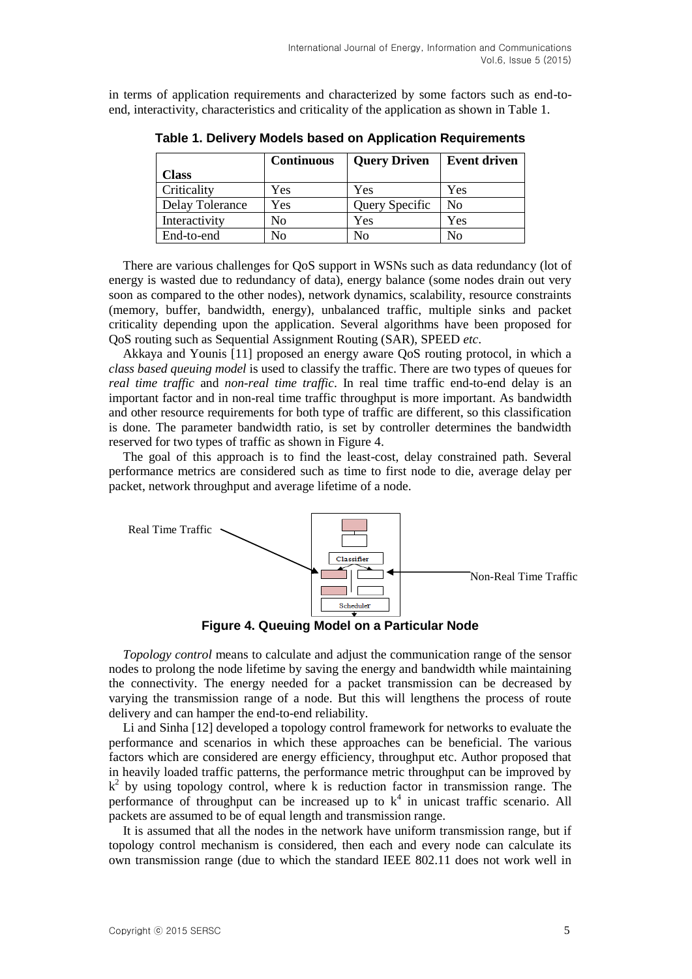in terms of application requirements and characterized by some factors such as end-toend, interactivity, characteristics and criticality of the application as shown in Table 1.

|                 | <b>Continuous</b> | <b>Query Driven</b> | <b>Event driven</b> |
|-----------------|-------------------|---------------------|---------------------|
| <b>Class</b>    |                   |                     |                     |
| Criticality     | Yes               | Yes                 | Yes                 |
| Delay Tolerance | Yes               | Query Specific      | No                  |
| Interactivity   | No                | Yes                 | Yes                 |
| End-to-end      | No                | No                  | No                  |

**Table 1. Delivery Models based on Application Requirements**

There are various challenges for QoS support in WSNs such as data redundancy (lot of energy is wasted due to redundancy of data), energy balance (some nodes drain out very soon as compared to the other nodes), network dynamics, scalability, resource constraints (memory, buffer, bandwidth, energy), unbalanced traffic, multiple sinks and packet criticality depending upon the application. Several algorithms have been proposed for QoS routing such as Sequential Assignment Routing (SAR), SPEED *etc*.

Akkaya and Younis [11] proposed an energy aware QoS routing protocol, in which a *class based queuing model* is used to classify the traffic. There are two types of queues for *real time traffic* and *non-real time traffic*. In real time traffic end-to-end delay is an important factor and in non-real time traffic throughput is more important. As bandwidth and other resource requirements for both type of traffic are different, so this classification is done. The parameter bandwidth ratio, is set by controller determines the bandwidth reserved for two types of traffic as shown in Figure 4.

The goal of this approach is to find the least-cost, delay constrained path. Several performance metrics are considered such as time to first node to die, average delay per packet, network throughput and average lifetime of a node.



**Figure 4. Queuing Model on a Particular Node**

*Topology control* means to calculate and adjust the communication range of the sensor nodes to prolong the node lifetime by saving the energy and bandwidth while maintaining the connectivity. The energy needed for a packet transmission can be decreased by varying the transmission range of a node. But this will lengthens the process of route delivery and can hamper the end-to-end reliability.

Li and Sinha [12] developed a topology control framework for networks to evaluate the performance and scenarios in which these approaches can be beneficial. The various factors which are considered are energy efficiency, throughput etc. Author proposed that in heavily loaded traffic patterns, the performance metric throughput can be improved by k<sup>2</sup> by using topology control, where k is reduction factor in transmission range. The performance of throughput can be increased up to  $k^4$  in unicast traffic scenario. All packets are assumed to be of equal length and transmission range.

It is assumed that all the nodes in the network have uniform transmission range, but if topology control mechanism is considered, then each and every node can calculate its own transmission range (due to which the standard IEEE 802.11 does not work well in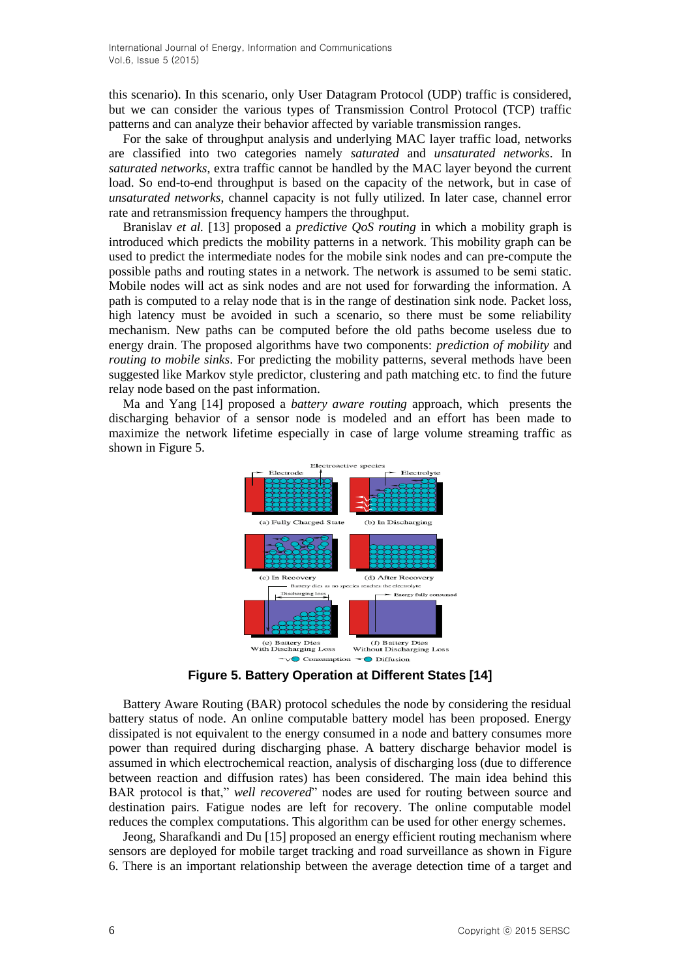this scenario). In this scenario, only User Datagram Protocol (UDP) traffic is considered, but we can consider the various types of Transmission Control Protocol (TCP) traffic patterns and can analyze their behavior affected by variable transmission ranges.

For the sake of throughput analysis and underlying MAC layer traffic load, networks are classified into two categories namely *saturated* and *unsaturated networks*. In *saturated networks*, extra traffic cannot be handled by the MAC layer beyond the current load. So end-to-end throughput is based on the capacity of the network, but in case of *unsaturated networks*, channel capacity is not fully utilized. In later case, channel error rate and retransmission frequency hampers the throughput.

Branislav *et al.* [13] proposed a *predictive QoS routing* in which a mobility graph is introduced which predicts the mobility patterns in a network. This mobility graph can be used to predict the intermediate nodes for the mobile sink nodes and can pre-compute the possible paths and routing states in a network. The network is assumed to be semi static. Mobile nodes will act as sink nodes and are not used for forwarding the information. A path is computed to a relay node that is in the range of destination sink node. Packet loss, high latency must be avoided in such a scenario, so there must be some reliability mechanism. New paths can be computed before the old paths become useless due to energy drain. The proposed algorithms have two components: *prediction of mobility* and *routing to mobile sinks*. For predicting the mobility patterns, several methods have been suggested like Markov style predictor, clustering and path matching etc. to find the future relay node based on the past information.

Ma and Yang [14] proposed a *battery aware routing* approach, which presents the discharging behavior of a sensor node is modeled and an effort has been made to maximize the network lifetime especially in case of large volume streaming traffic as shown in Figure 5.



**Figure 5. Battery Operation at Different States [14]** 

Battery Aware Routing (BAR) protocol schedules the node by considering the residual battery status of node. An online computable battery model has been proposed. Energy dissipated is not equivalent to the energy consumed in a node and battery consumes more power than required during discharging phase. A battery discharge behavior model is assumed in which electrochemical reaction, analysis of discharging loss (due to difference between reaction and diffusion rates) has been considered. The main idea behind this BAR protocol is that," *well recovered*" nodes are used for routing between source and destination pairs. Fatigue nodes are left for recovery. The online computable model reduces the complex computations. This algorithm can be used for other energy schemes.

Jeong, Sharafkandi and Du [15] proposed an energy efficient routing mechanism where sensors are deployed for mobile target tracking and road surveillance as shown in Figure 6. There is an important relationship between the average detection time of a target and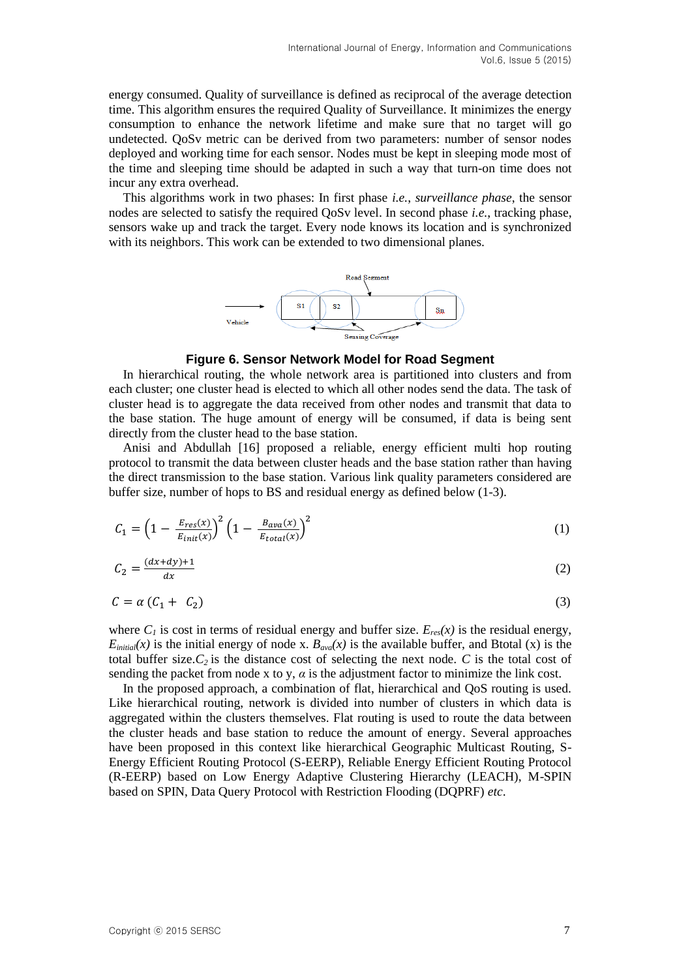energy consumed. Quality of surveillance is defined as reciprocal of the average detection time. This algorithm ensures the required Quality of Surveillance. It minimizes the energy consumption to enhance the network lifetime and make sure that no target will go undetected. QoSv metric can be derived from two parameters: number of sensor nodes deployed and working time for each sensor. Nodes must be kept in sleeping mode most of the time and sleeping time should be adapted in such a way that turn-on time does not incur any extra overhead.

This algorithms work in two phases: In first phase *i.e.*, *surveillance phase*, the sensor nodes are selected to satisfy the required QoSv level. In second phase *i.e.*, tracking phase, sensors wake up and track the target. Every node knows its location and is synchronized with its neighbors. This work can be extended to two dimensional planes.



#### **Figure 6. Sensor Network Model for Road Segment**

In hierarchical routing, the whole network area is partitioned into clusters and from each cluster; one cluster head is elected to which all other nodes send the data. The task of cluster head is to aggregate the data received from other nodes and transmit that data to the base station. The huge amount of energy will be consumed, if data is being sent directly from the cluster head to the base station.

Anisi and Abdullah [16] proposed a reliable, energy efficient multi hop routing protocol to transmit the data between cluster heads and the base station rather than having the direct transmission to the base station. Various link quality parameters considered are buffer size, number of hops to BS and residual energy as defined below (1-3).

$$
C_1 = \left(1 - \frac{E_{res}(x)}{E_{init}(x)}\right)^2 \left(1 - \frac{B_{ava}(x)}{E_{total}(x)}\right)^2 \tag{1}
$$

$$
C_2 = \frac{(dx+dy)+1}{dx} \tag{2}
$$

$$
C = \alpha \left( C_1 + C_2 \right) \tag{3}
$$

where  $C_l$  is cost in terms of residual energy and buffer size.  $E_{res}(x)$  is the residual energy,  $E_{initial}(x)$  is the initial energy of node x.  $B_{aval}(x)$  is the available buffer, and Btotal (x) is the total buffer size. $C_2$  is the distance cost of selecting the next node.  $C$  is the total cost of sending the packet from node x to y,  $\alpha$  is the adjustment factor to minimize the link cost.

In the proposed approach, a combination of flat, hierarchical and QoS routing is used. Like hierarchical routing, network is divided into number of clusters in which data is aggregated within the clusters themselves. Flat routing is used to route the data between the cluster heads and base station to reduce the amount of energy. Several approaches have been proposed in this context like hierarchical Geographic Multicast Routing, S-Energy Efficient Routing Protocol (S-EERP), Reliable Energy Efficient Routing Protocol (R-EERP) based on Low Energy Adaptive Clustering Hierarchy (LEACH), M-SPIN based on SPIN, Data Query Protocol with Restriction Flooding (DQPRF) *etc*.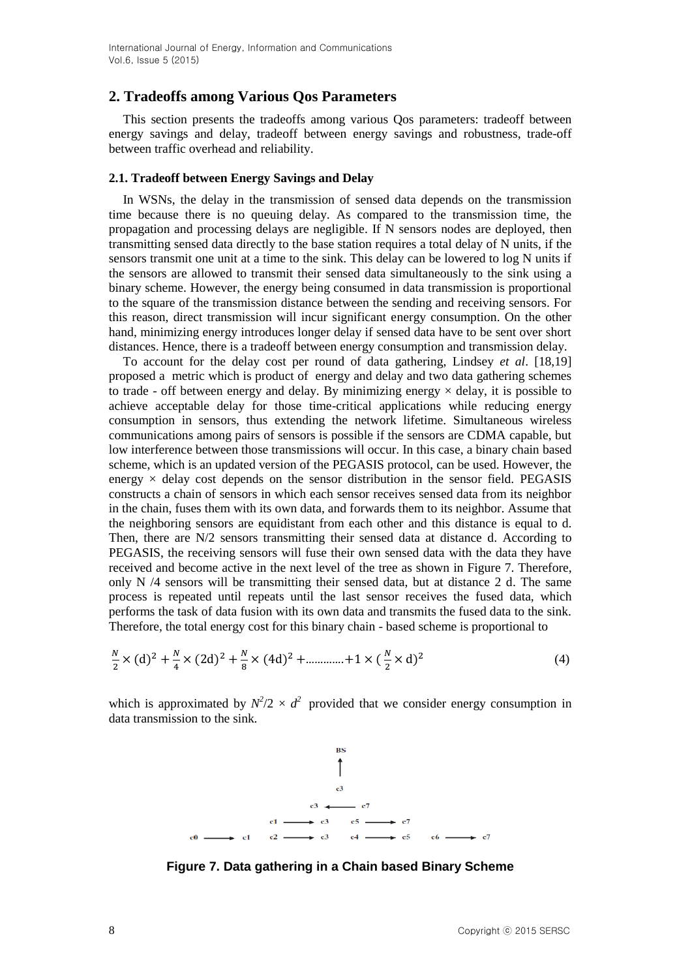# **2. Tradeoffs among Various Qos Parameters**

This section presents the tradeoffs among various Qos parameters: tradeoff between energy savings and delay, tradeoff between energy savings and robustness, trade-off between traffic overhead and reliability.

#### **2.1. Tradeoff between Energy Savings and Delay**

In WSNs, the delay in the transmission of sensed data depends on the transmission time because there is no queuing delay. As compared to the transmission time, the propagation and processing delays are negligible. If N sensors nodes are deployed, then transmitting sensed data directly to the base station requires a total delay of N units, if the sensors transmit one unit at a time to the sink. This delay can be lowered to log N units if the sensors are allowed to transmit their sensed data simultaneously to the sink using a binary scheme. However, the energy being consumed in data transmission is proportional to the square of the transmission distance between the sending and receiving sensors. For this reason, direct transmission will incur significant energy consumption. On the other hand, minimizing energy introduces longer delay if sensed data have to be sent over short distances. Hence, there is a tradeoff between energy consumption and transmission delay.

To account for the delay cost per round of data gathering, Lindsey *et al*. [18,19] proposed a metric which is product of energy and delay and two data gathering schemes to trade - off between energy and delay. By minimizing energy  $\times$  delay, it is possible to achieve acceptable delay for those time-critical applications while reducing energy consumption in sensors, thus extending the network lifetime. Simultaneous wireless communications among pairs of sensors is possible if the sensors are CDMA capable, but low interference between those transmissions will occur. In this case, a binary chain based scheme, which is an updated version of the PEGASIS protocol, can be used. However, the energy  $\times$  delay cost depends on the sensor distribution in the sensor field. PEGASIS constructs a chain of sensors in which each sensor receives sensed data from its neighbor in the chain, fuses them with its own data, and forwards them to its neighbor. Assume that the neighboring sensors are equidistant from each other and this distance is equal to d. Then, there are N/2 sensors transmitting their sensed data at distance d. According to PEGASIS, the receiving sensors will fuse their own sensed data with the data they have received and become active in the next level of the tree as shown in Figure 7. Therefore, only N /4 sensors will be transmitting their sensed data, but at distance 2 d. The same process is repeated until repeats until the last sensor receives the fused data, which performs the task of data fusion with its own data and transmits the fused data to the sink. Therefore, the total energy cost for this binary chain - based scheme is proportional to

$$
\frac{N}{2} \times (d)^2 + \frac{N}{4} \times (2d)^2 + \frac{N}{8} \times (4d)^2 + \dots + 1 \times (\frac{N}{2} \times d)^2
$$
 (4)

which is approximated by  $N^2/2 \times d^2$  provided that we consider energy consumption in data transmission to the sink.



**Figure 7. Data gathering in a Chain based Binary Scheme**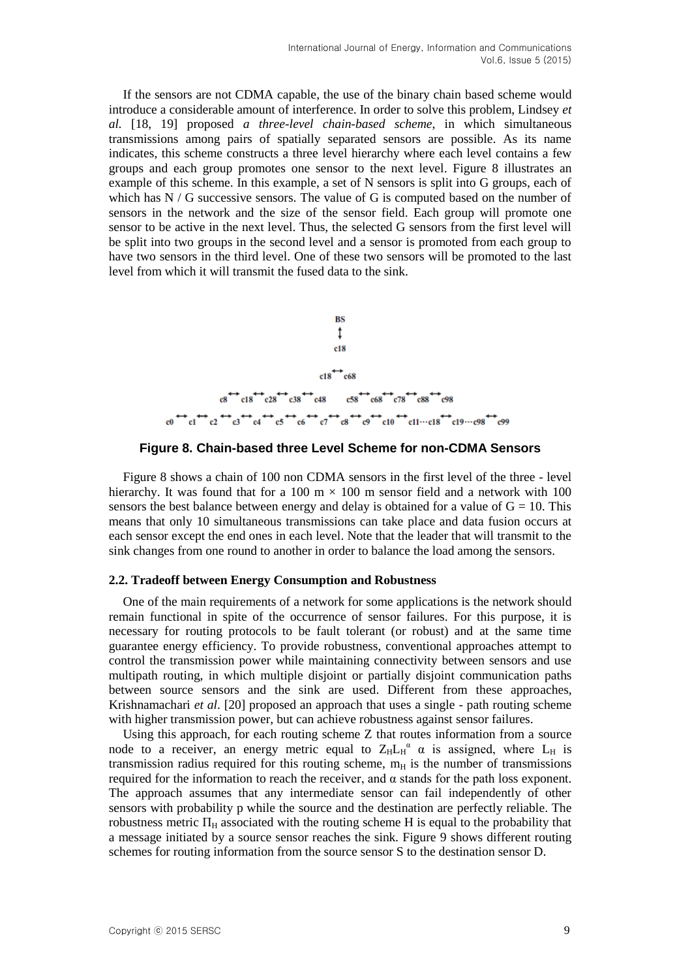If the sensors are not CDMA capable, the use of the binary chain based scheme would introduce a considerable amount of interference. In order to solve this problem, Lindsey *et al.* [18, 19] proposed *a three-level chain-based scheme*, in which simultaneous transmissions among pairs of spatially separated sensors are possible. As its name indicates, this scheme constructs a three level hierarchy where each level contains a few groups and each group promotes one sensor to the next level. Figure 8 illustrates an example of this scheme. In this example, a set of N sensors is split into G groups, each of which has  $N / G$  successive sensors. The value of G is computed based on the number of sensors in the network and the size of the sensor field. Each group will promote one sensor to be active in the next level. Thus, the selected G sensors from the first level will be split into two groups in the second level and a sensor is promoted from each group to have two sensors in the third level. One of these two sensors will be promoted to the last level from which it will transmit the fused data to the sink.



**Figure 8. Chain-based three Level Scheme for non-CDMA Sensors**

Figure 8 shows a chain of 100 non CDMA sensors in the first level of the three - level hierarchy. It was found that for a 100 m  $\times$  100 m sensor field and a network with 100 sensors the best balance between energy and delay is obtained for a value of  $G = 10$ . This means that only 10 simultaneous transmissions can take place and data fusion occurs at each sensor except the end ones in each level. Note that the leader that will transmit to the sink changes from one round to another in order to balance the load among the sensors.

#### **2.2. Tradeoff between Energy Consumption and Robustness**

One of the main requirements of a network for some applications is the network should remain functional in spite of the occurrence of sensor failures. For this purpose, it is necessary for routing protocols to be fault tolerant (or robust) and at the same time guarantee energy efficiency. To provide robustness, conventional approaches attempt to control the transmission power while maintaining connectivity between sensors and use multipath routing, in which multiple disjoint or partially disjoint communication paths between source sensors and the sink are used. Different from these approaches, Krishnamachari *et al*. [20] proposed an approach that uses a single - path routing scheme with higher transmission power, but can achieve robustness against sensor failures.

Using this approach, for each routing scheme Z that routes information from a source node to a receiver, an energy metric equal to  $Z_H L_H^{\alpha}$   $\alpha$  is assigned, where  $L_H$  is transmission radius required for this routing scheme,  $m_H$  is the number of transmissions required for the information to reach the receiver, and α stands for the path loss exponent. The approach assumes that any intermediate sensor can fail independently of other sensors with probability p while the source and the destination are perfectly reliable. The robustness metric  $\Pi_H$  associated with the routing scheme H is equal to the probability that a message initiated by a source sensor reaches the sink. Figure 9 shows different routing schemes for routing information from the source sensor S to the destination sensor D.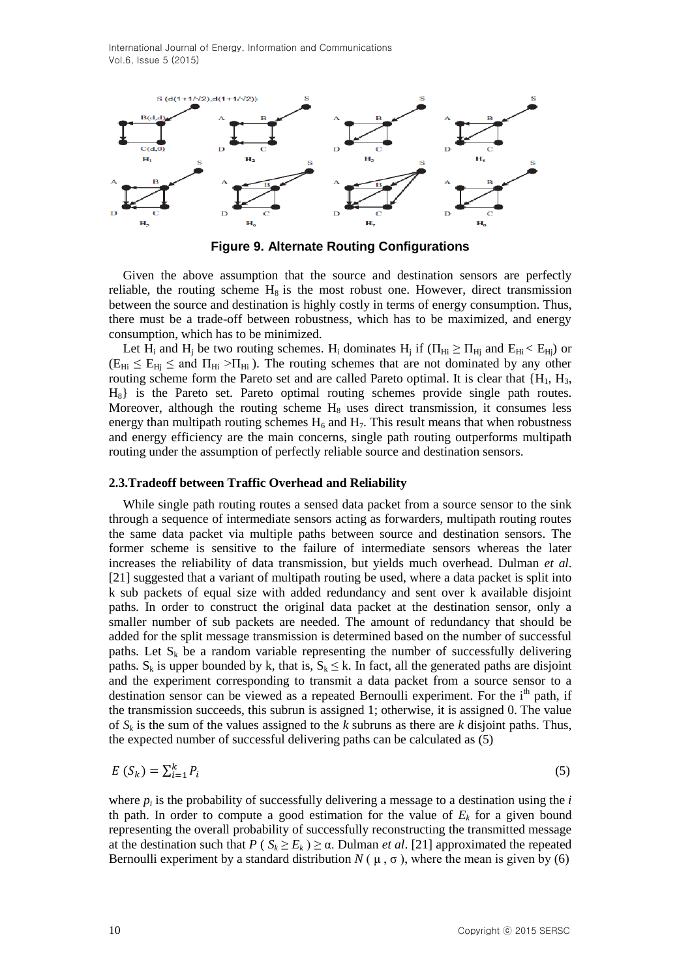International Journal of Energy, Information and Communications Vol.6, Issue 5 (2015)



**Figure 9. Alternate Routing Configurations**

Given the above assumption that the source and destination sensors are perfectly reliable, the routing scheme  $H_8$  is the most robust one. However, direct transmission between the source and destination is highly costly in terms of energy consumption. Thus, there must be a trade-off between robustness, which has to be maximized, and energy consumption, which has to be minimized.

Let H<sub>i</sub> and H<sub>j</sub> be two routing schemes. H<sub>i</sub> dominates H<sub>j</sub> if ( $\Pi_{Hi} \ge \Pi_{Hj}$  and  $E_{Hi} < E_{Hj}$ ) or  $(E_{Hi} \le E_{Hi} \le$  and  $\Pi_{Hi} > \Pi_{Hi}$ ). The routing schemes that are not dominated by any other routing scheme form the Pareto set and are called Pareto optimal. It is clear that  ${H_1, H_3, H_4, H_5, H_6, H_7, H_8, H_9, H_1, H_1, H_2, H_3, H_4, H_5, H_6, H_7, H_8, H_9, H_1, H_1, H_2, H_3, H_4, H_5, H_7, H_8, H_9, H_1, H_1, H_2, H_1, H_2, H_3, H_4,$ H8} is the Pareto set. Pareto optimal routing schemes provide single path routes. Moreover, although the routing scheme  $H_8$  uses direct transmission, it consumes less energy than multipath routing schemes  $H_6$  and  $H_7$ . This result means that when robustness and energy efficiency are the main concerns, single path routing outperforms multipath routing under the assumption of perfectly reliable source and destination sensors.

#### **2.3.Tradeoff between Traffic Overhead and Reliability**

While single path routing routes a sensed data packet from a source sensor to the sink through a sequence of intermediate sensors acting as forwarders, multipath routing routes the same data packet via multiple paths between source and destination sensors. The former scheme is sensitive to the failure of intermediate sensors whereas the later increases the reliability of data transmission, but yields much overhead. Dulman *et al*. [21] suggested that a variant of multipath routing be used, where a data packet is split into k sub packets of equal size with added redundancy and sent over k available disjoint paths. In order to construct the original data packet at the destination sensor, only a smaller number of sub packets are needed. The amount of redundancy that should be added for the split message transmission is determined based on the number of successful paths. Let  $S_k$  be a random variable representing the number of successfully delivering paths.  $S_k$  is upper bounded by k, that is,  $S_k \le k$ . In fact, all the generated paths are disjoint and the experiment corresponding to transmit a data packet from a source sensor to a destination sensor can be viewed as a repeated Bernoulli experiment. For the i<sup>th</sup> path, if the transmission succeeds, this subrun is assigned 1; otherwise, it is assigned 0. The value of  $S_k$  is the sum of the values assigned to the  $k$  subruns as there are  $k$  disjoint paths. Thus, the expected number of successful delivering paths can be calculated as (5)

$$
E(S_k) = \sum_{i=1}^{k} P_i
$$
\n<sup>(5)</sup>

where  $p_i$  is the probability of successfully delivering a message to a destination using the  $i$ th path. In order to compute a good estimation for the value of  $E<sub>k</sub>$  for a given bound representing the overall probability of successfully reconstructing the transmitted message at the destination such that  $P(S_k \ge E_k) \ge \alpha$ . Dulman *et al.* [21] approximated the repeated Bernoulli experiment by a standard distribution  $N(\mu, \sigma)$ , where the mean is given by (6)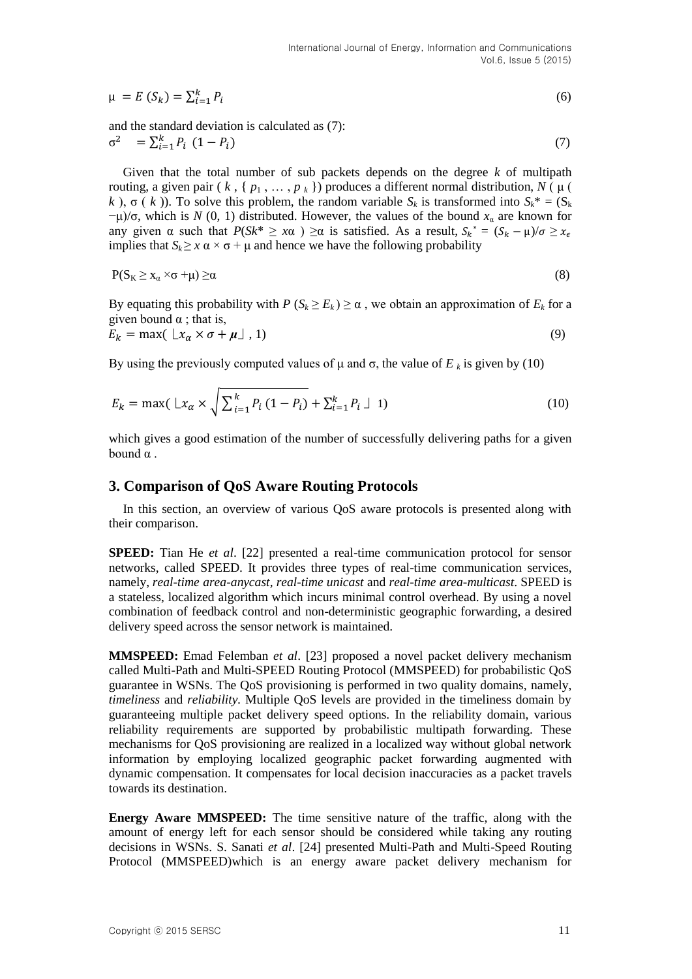$$
\mu = E(S_k) = \sum_{i=1}^{k} P_i \tag{6}
$$

and the standard deviation is calculated as (7):

$$
\sigma^2 = \sum_{i=1}^k P_i (1 - P_i) \tag{7}
$$

Given that the total number of sub packets depends on the degree *k* of multipath routing, a given pair ( $k$ , {  $p_1$ , ...,  $p_k$ }) produces a different normal distribution, *N* (μ ( *k*),  $\sigma(k)$ ). To solve this problem, the random variable  $S_k$  is transformed into  $S_k^* = (S_k)$  $-\mu$ /σ, which is *N* (0, 1) distributed. However, the values of the bound  $x<sub>α</sub>$  are known for any given  $\alpha$  such that  $P(Sk^* \geq x\alpha) \geq \alpha$  is satisfied. As a result,  $S_k^* = (S_k - \mu)/\sigma \geq x_{\epsilon}$ implies that  $S_k \geq x \alpha \times \sigma + \mu$  and hence we have the following probability

$$
P(S_K \geq x_\alpha \times \sigma + \mu) \geq \alpha \tag{8}
$$

By equating this probability with  $P(S_k \ge E_k) \ge \alpha$ , we obtain an approximation of  $E_k$  for a given bound  $\alpha$  ; that is,

$$
E_k = \max(\lfloor x_\alpha \times \sigma + \mu \rfloor, 1) \tag{9}
$$

By using the previously computed values of  $\mu$  and  $\sigma$ , the value of  $E_k$  is given by (10)

$$
E_k = \max\left(\frac{Lx_{\alpha} \times \sqrt{\sum_{i=1}^{k} P_i (1 - P_i)} + \sum_{i=1}^{k} P_i \perp 1\right)
$$
\n(10)

which gives a good estimation of the number of successfully delivering paths for a given bound  $α$ .

## **3. Comparison of QoS Aware Routing Protocols**

In this section, an overview of various QoS aware protocols is presented along with their comparison.

**SPEED:** Tian He *et al*. [22] presented a real-time communication protocol for sensor networks, called SPEED. It provides three types of real-time communication services, namely, *real-time area-anycast, real-time unicast* and *real-time area-multicast*. SPEED is a stateless, localized algorithm which incurs minimal control overhead. By using a novel combination of feedback control and non-deterministic geographic forwarding, a desired delivery speed across the sensor network is maintained.

**MMSPEED:** Emad Felemban *et al*. [23] proposed a novel packet delivery mechanism called Multi-Path and Multi-SPEED Routing Protocol (MMSPEED) for probabilistic QoS guarantee in WSNs. The QoS provisioning is performed in two quality domains, namely, *timeliness* and *reliability.* Multiple QoS levels are provided in the timeliness domain by guaranteeing multiple packet delivery speed options. In the reliability domain, various reliability requirements are supported by probabilistic multipath forwarding. These mechanisms for QoS provisioning are realized in a localized way without global network information by employing localized geographic packet forwarding augmented with dynamic compensation. It compensates for local decision inaccuracies as a packet travels towards its destination.

**Energy Aware MMSPEED:** The time sensitive nature of the traffic, along with the amount of energy left for each sensor should be considered while taking any routing decisions in WSNs. S. Sanati *et al*. [24] presented Multi-Path and Multi-Speed Routing Protocol (MMSPEED)which is an energy aware packet delivery mechanism for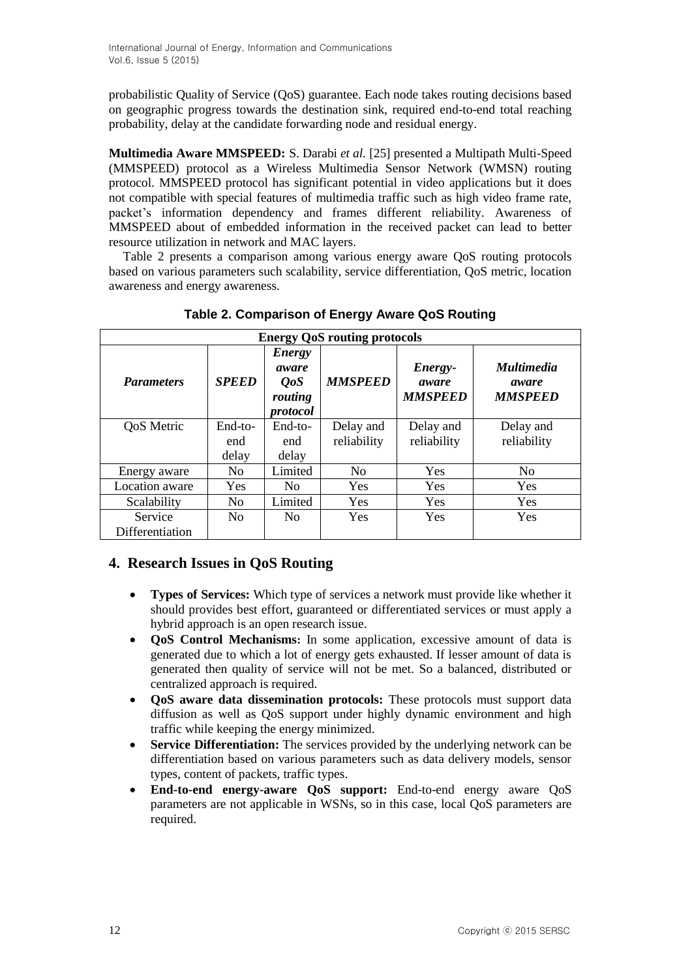probabilistic Quality of Service (QoS) guarantee. Each node takes routing decisions based on geographic progress towards the destination sink, required end-to-end total reaching probability, delay at the candidate forwarding node and residual energy.

**Multimedia Aware MMSPEED:** S. Darabi *et al.* [25] presented a Multipath Multi-Speed (MMSPEED) protocol as a Wireless Multimedia Sensor Network (WMSN) routing protocol. MMSPEED protocol has significant potential in video applications but it does not compatible with special features of multimedia traffic such as high video frame rate, packet's information dependency and frames different reliability. Awareness of MMSPEED about of embedded information in the received packet can lead to better resource utilization in network and MAC layers.

Table 2 presents a comparison among various energy aware QoS routing protocols based on various parameters such scalability, service differentiation, QoS metric, location awareness and energy awareness.

| <b>Energy QoS routing protocols</b> |                |                                                             |                |                                    |                                              |  |
|-------------------------------------|----------------|-------------------------------------------------------------|----------------|------------------------------------|----------------------------------------------|--|
| <b>Parameters</b>                   | <b>SPEED</b>   | <b>Energy</b><br>aware<br><i>OoS</i><br>routing<br>protocol | <b>MMSPEED</b> | Energy-<br>aware<br><b>MMSPEED</b> | <i>Multimedia</i><br>aware<br><b>MMSPEED</b> |  |
| <b>QoS</b> Metric                   | End-to-        | End-to-                                                     | Delay and      | Delay and                          | Delay and                                    |  |
|                                     | end            | end                                                         | reliability    | reliability                        | reliability                                  |  |
|                                     | delay          | delay                                                       |                |                                    |                                              |  |
| Energy aware                        | N <sub>0</sub> | Limited                                                     | N <sub>0</sub> | <b>Yes</b>                         | N <sub>0</sub>                               |  |
| Location aware                      | Yes            | N <sub>0</sub>                                              | <b>Yes</b>     | <b>Yes</b>                         | Yes                                          |  |
| Scalability                         | N <sub>0</sub> | Limited                                                     | Yes            | <b>Yes</b>                         | Yes                                          |  |
| Service                             | N <sub>0</sub> | N <sub>0</sub>                                              | Yes            | <b>Yes</b>                         | <b>Yes</b>                                   |  |
| Differentiation                     |                |                                                             |                |                                    |                                              |  |

**Table 2. Comparison of Energy Aware QoS Routing**

# **4. Research Issues in QoS Routing**

- **Types of Services:** Which type of services a network must provide like whether it should provides best effort, guaranteed or differentiated services or must apply a hybrid approach is an open research issue.
- **QoS Control Mechanisms:** In some application, excessive amount of data is generated due to which a lot of energy gets exhausted. If lesser amount of data is generated then quality of service will not be met. So a balanced, distributed or centralized approach is required.
- **QoS aware data dissemination protocols:** These protocols must support data diffusion as well as QoS support under highly dynamic environment and high traffic while keeping the energy minimized.
- **Service Differentiation:** The services provided by the underlying network can be differentiation based on various parameters such as data delivery models, sensor types, content of packets, traffic types.
- **End-to-end energy-aware QoS support:** End-to-end energy aware QoS parameters are not applicable in WSNs, so in this case, local QoS parameters are required.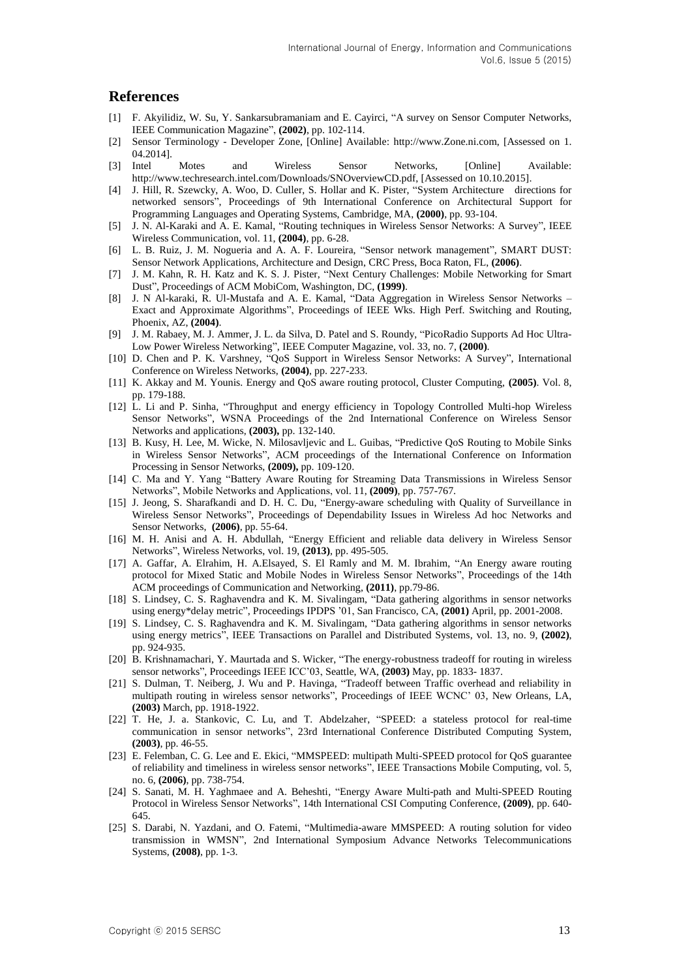## **References**

- [1] F. Akyilidiz, W. Su, Y. Sankarsubramaniam and E. Cayirci, "A survey on Sensor Computer Networks, IEEE Communication Magazine", **(2002)**, pp. 102-114.
- [2] Sensor Terminology Developer Zone, [Online] Available: http://www.Zone.ni.com, [Assessed on 1. 04.2014].
- [3] Intel Motes and Wireless Sensor Networks, [Online] Available: http://www.techresearch.intel.com/Downloads/SNOverviewCD.pdf, [Assessed on 10.10.2015].
- [4] J. Hill, R. Szewcky, A. Woo, D. Culler, S. Hollar and K. Pister, "System Architecture directions for networked sensors", Proceedings of 9th International Conference on Architectural Support for Programming Languages and Operating Systems, Cambridge, MA, **(2000)**, pp. 93-104.
- [5] J. N. Al-Karaki and A. E. Kamal, "Routing techniques in Wireless Sensor Networks: A Survey", IEEE Wireless Communication, vol. 11, **(2004)**, pp. 6-28.
- [6] L. B. Ruiz, J. M. Nogueria and A. A. F. Loureira, "Sensor network management", SMART DUST: Sensor Network Applications, Architecture and Design, CRC Press, Boca Raton, FL, **(2006)**.
- [7] J. M. Kahn, R. H. Katz and K. S. J. Pister, "Next Century Challenges: Mobile Networking for Smart Dust", Proceedings of ACM MobiCom, Washington, DC, **(1999)**.
- [8] J. N Al-karaki, R. Ul-Mustafa and A. E. Kamal, "Data Aggregation in Wireless Sensor Networks Exact and Approximate Algorithms", Proceedings of IEEE Wks. High Perf. Switching and Routing, Phoenix, AZ, **(2004)**.
- [9] J. M. Rabaey, M. J. Ammer, J. L. da Silva, D. Patel and S. Roundy, "PicoRadio Supports Ad Hoc Ultra-Low Power Wireless Networking", IEEE Computer Magazine, vol. 33, no. 7, **(2000)**.
- [10] D. Chen and P. K. Varshney, "QoS Support in Wireless Sensor Networks: A Survey", International Conference on Wireless Networks, **(2004)**, pp. 227-233.
- [11] K. Akkay and M. Younis. Energy and QoS aware routing protocol, Cluster Computing, **(2005)**. Vol. 8, pp. 179-188.
- [12] L. Li and P. Sinha, "Throughput and energy efficiency in Topology Controlled Multi-hop Wireless Sensor Networks", WSNA Proceedings of the 2nd International Conference on Wireless Sensor Networks and applications, **(2003),** pp. 132-140.
- [13] B. Kusy, H. Lee, M. Wicke, N. Milosavljevic and L. Guibas, "Predictive QoS Routing to Mobile Sinks in Wireless Sensor Networks", ACM proceedings of the International Conference on Information Processing in Sensor Networks, **(2009),** pp. 109-120.
- [14] C. Ma and Y. Yang "Battery Aware Routing for Streaming Data Transmissions in Wireless Sensor Networks", Mobile Networks and Applications, vol. 11, **(2009)**, pp. 757-767.
- [15] J. Jeong, S. Sharafkandi and D. H. C. Du, "Energy-aware scheduling with Quality of Surveillance in Wireless Sensor Networks", Proceedings of Dependability Issues in Wireless Ad hoc Networks and Sensor Networks, **(2006)**, pp. 55-64.
- [16] M. H. Anisi and A. H. Abdullah, "Energy Efficient and reliable data delivery in Wireless Sensor Networks", Wireless Networks, vol. 19, **(2013)**, pp. 495-505.
- [17] A. Gaffar, A. Elrahim, H. A.Elsayed, S. El Ramly and M. M. Ibrahim, "An Energy aware routing protocol for Mixed Static and Mobile Nodes in Wireless Sensor Networks", Proceedings of the 14th ACM proceedings of Communication and Networking, **(2011)**, pp.79-86.
- [18] S. Lindsey, C. S. Raghavendra and K. M. Sivalingam, "Data gathering algorithms in sensor networks using energy\*delay metric", Proceedings IPDPS '01, San Francisco, CA, **(2001)** April, pp. 2001-2008.
- [19] S. Lindsey, C. S. Raghavendra and K. M. Sivalingam, "Data gathering algorithms in sensor networks using energy metrics", IEEE Transactions on Parallel and Distributed Systems, vol. 13, no. 9, **(2002)**, pp. 924-935.
- [20] B. Krishnamachari, Y. Maurtada and S. Wicker, "The energy-robustness tradeoff for routing in wireless sensor networks", Proceedings IEEE ICC'03, Seattle, WA, **(2003)** May, pp. 1833- 1837.
- [21] S. Dulman, T. Neiberg, J. Wu and P. Havinga, "Tradeoff between Traffic overhead and reliability in multipath routing in wireless sensor networks", Proceedings of IEEE WCNC' 03, New Orleans, LA, **(2003)** March, pp. 1918-1922.
- [22] T. He, J. a. Stankovic, C. Lu, and T. Abdelzaher, "SPEED: a stateless protocol for real-time communication in sensor networks", 23rd International Conference Distributed Computing System, **(2003)**, pp. 46-55.
- [23] E. Felemban, C. G. Lee and E. Ekici, "MMSPEED: multipath Multi-SPEED protocol for QoS guarantee of reliability and timeliness in wireless sensor networks", IEEE Transactions Mobile Computing, vol. 5, no. 6, **(2006)**, pp. 738-754.
- [24] S. Sanati, M. H. Yaghmaee and A. Beheshti, "Energy Aware Multi-path and Multi-SPEED Routing Protocol in Wireless Sensor Networks", 14th International CSI Computing Conference, **(2009)**, pp. 640- 645.
- [25] S. Darabi, N. Yazdani, and O. Fatemi, "Multimedia-aware MMSPEED: A routing solution for video transmission in WMSN", 2nd International Symposium Advance Networks Telecommunications Systems, **(2008)**, pp. 1-3.